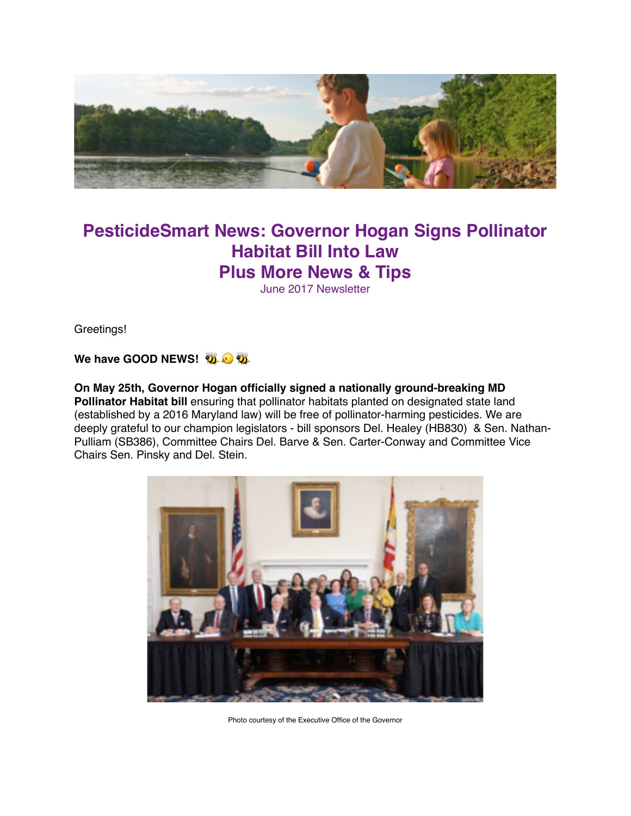

# **PesticideSmart News: Governor Hogan Signs Pollinator Habitat Bill Into Law Plus More News & Tips**

June 2017 Newsletter

Greetings!

**We have GOOD NEWS!** 

**On May 25th, Governor Hogan officially signed a nationally ground-breaking MD Pollinator Habitat bill** ensuring that pollinator habitats planted on designated state land (established by a 2016 Maryland law) will be free of pollinator-harming pesticides. We are deeply grateful to our champion legislators - bill sponsors Del. Healey (HB830) & Sen. Nathan-Pulliam (SB386), Committee Chairs Del. Barve & Sen. Carter-Conway and Committee Vice Chairs Sen. Pinsky and Del. Stein.



Photo courtesy of the Executive Office of the Governor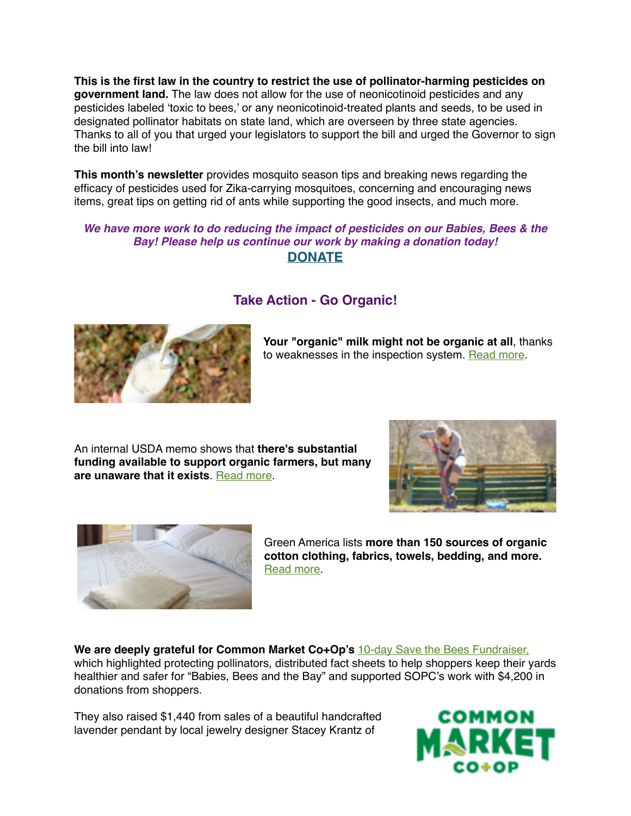**This is the first law in the country to restrict the use of pollinator-harming pesticides on government land.** The law does not allow for the use of neonicotinoid pesticides and any pesticides labeled 'toxic to bees,' or any neonicotinoid-treated plants and seeds, to be used in designated pollinator habitats on state land, which are overseen by three state agencies. Thanks to all of you that urged your legislators to support the bill and urged the Governor to sign the bill into law!

**This month's newsletter** provides mosquito season tips and breaking news regarding the efficacy of pesticides used for Zika-carrying mosquitoes, concerning and encouraging news items, great tips on getting rid of ants while supporting the good insects, and much more.

### *We have more work to do reducing the impact of pesticides on our Babies, Bees & the Bay! Please help us continue our work by making a donation today!* **[DONATE](http://mdpestnet.us12.list-manage.com/track/click?u=dcf08b5ef315f2faae2ed89b7&id=83d2b2322e&e=f5232c3d36)**



# **Take Action - Go Organic!**

**Your "organic" milk might not be organic at all**, thanks to weaknesses in the inspection system. [Read more](http://mdpestnet.us12.list-manage.com/track/click?u=dcf08b5ef315f2faae2ed89b7&id=bb47c265e6&e=f5232c3d36).

An internal USDA memo shows that **there's substantial funding available to support organic farmers, but many are unaware that it exists**. [Read more.](http://mdpestnet.us12.list-manage.com/track/click?u=dcf08b5ef315f2faae2ed89b7&id=fad6476d75&e=f5232c3d36)





Green America lists **more than 150 sources of organic cotton clothing, fabrics, towels, bedding, and more.** [Read more.](http://mdpestnet.us12.list-manage1.com/track/click?u=dcf08b5ef315f2faae2ed89b7&id=f321b721fc&e=f5232c3d36)

**We are deeply grateful for Common Market Co+Op's** [10-day Save the Bees Fundraiser,](http://mdpestnet.us12.list-manage.com/track/click?u=dcf08b5ef315f2faae2ed89b7&id=bb7111cd63&e=f5232c3d36) which highlighted protecting pollinators, distributed fact sheets to help shoppers keep their yards healthier and safer for "Babies, Bees and the Bay" and supported SOPC's work with \$4,200 in donations from shoppers.

They also raised \$1,440 from sales of a beautiful handcrafted lavender pendant by local jewelry designer Stacey Krantz of

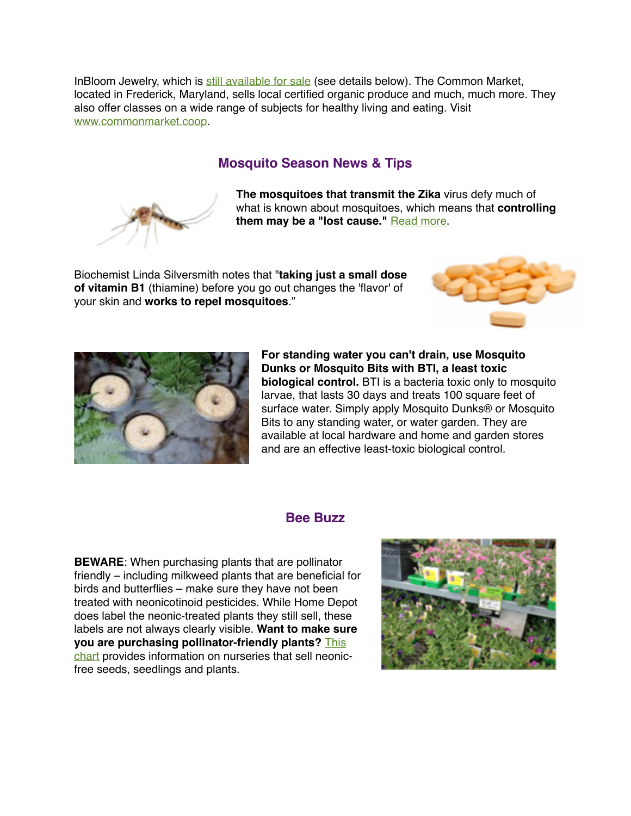InBloom Jewelry, which is [still available for sale](http://mdpestnet.us12.list-manage.com/track/click?u=dcf08b5ef315f2faae2ed89b7&id=65b473c012&e=f5232c3d36) (see details below). The Common Market, located in Frederick, Maryland, sells local certified organic produce and much, much more. They also offer classes on a wide range of subjects for healthy living and eating. Visit [www.commonmarket.coop.](http://www.commonmarket.coop)

### **Mosquito Season News & Tips**



**The mosquitoes that transmit the Zika** virus defy much of what is known about mosquitoes, which means that **controlling**  them may be a "lost cause." **[Read more](http://mdpestnet.us12.list-manage.com/track/click?u=dcf08b5ef315f2faae2ed89b7&id=c941a6e459&e=f5232c3d36).** 

Biochemist Linda Silversmith notes that "**taking just a small dose of vitamin B1** (thiamine) before you go out changes the 'flavor' of your skin and **works to repel mosquitoes**."





**For standing water you can't drain, use Mosquito Dunks or Mosquito Bits with BTI, a least toxic biological control.** BTI is a bacteria toxic only to mosquito larvae, that lasts 30 days and treats 100 square feet of surface water. Simply apply Mosquito Dunks® or Mosquito Bits to any standing water, or water garden. They are available at local hardware and home and garden stores and are an effective least-toxic biological control.

#### **Bee Buzz**

**BEWARE**: When purchasing plants that are pollinator friendly – including milkweed plants that are beneficial for birds and butterflies – make sure they have not been treated with neonicotinoid pesticides. While Home Depot does label the neonic-treated plants they still sell, these labels are not always clearly visible. **Want to make sure you are purchasing pollinator-friendly plants?** This [chart provides information on nurseries that sell neonic](http://mdpestnet.us12.list-manage2.com/track/click?u=dcf08b5ef315f2faae2ed89b7&id=b0480fe436&e=f5232c3d36)free seeds, seedlings and plants.

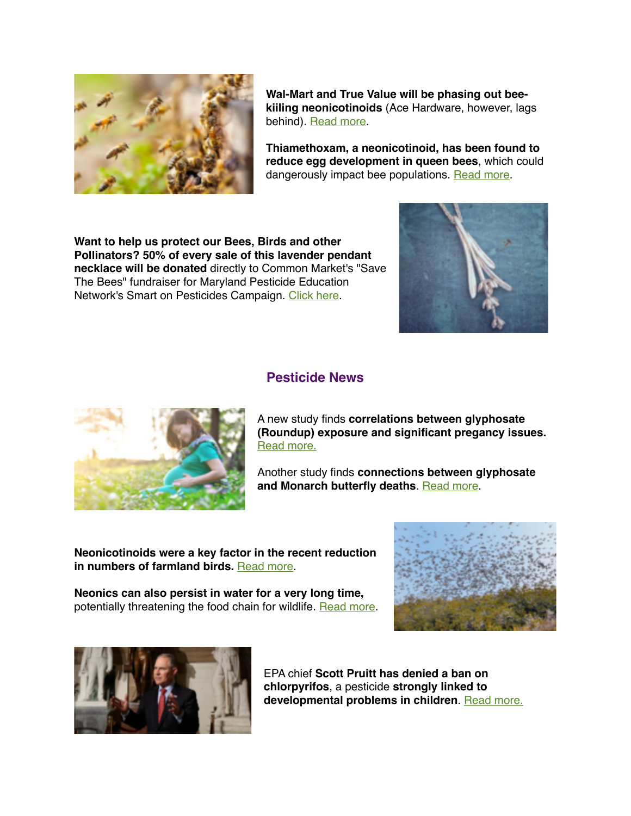

**Wal-Mart and True Value will be phasing out beekiiling neonicotinoids** (Ace Hardware, however, lags behind). [Read more](http://mdpestnet.us12.list-manage.com/track/click?u=dcf08b5ef315f2faae2ed89b7&id=f1d529fa1e&e=f5232c3d36).

**Thiamethoxam, a neonicotinoid, has been found to reduce egg development in queen bees**, which could dangerously impact bee populations. [Read more.](http://mdpestnet.us12.list-manage1.com/track/click?u=dcf08b5ef315f2faae2ed89b7&id=169573514c&e=f5232c3d36)

**Want to help us protect our Bees, Birds and other Pollinators? 50% of every sale of this lavender pendant necklace will be donated** directly to Common Market's "Save The Bees" fundraiser for Maryland Pesticide Education Network's Smart on Pesticides Campaign. [Click here](http://mdpestnet.us12.list-manage.com/track/click?u=dcf08b5ef315f2faae2ed89b7&id=2f169952b3&e=f5232c3d36).



### **Pesticide News**



A new study finds **correlations between glyphosate (Roundup) exposure and significant pregancy issues.** [Read more.](http://mdpestnet.us12.list-manage1.com/track/click?u=dcf08b5ef315f2faae2ed89b7&id=7a59f210de&e=f5232c3d36)

Another study finds **connections between glyphosate and Monarch butterfly deaths**. [Read more](http://mdpestnet.us12.list-manage.com/track/click?u=dcf08b5ef315f2faae2ed89b7&id=f3aa9089c2&e=f5232c3d36).

**Neonicotinoids were a key factor in the recent reduction in numbers of farmland birds.** [Read more.](http://mdpestnet.us12.list-manage.com/track/click?u=dcf08b5ef315f2faae2ed89b7&id=67e04e9cf1&e=f5232c3d36)

**Neonics can also persist in water for a very long time,**  potentially threatening the food chain for wildlife. [Read more](http://mdpestnet.us12.list-manage.com/track/click?u=dcf08b5ef315f2faae2ed89b7&id=62441d772d&e=f5232c3d36).





EPA chief **Scott Pruitt has denied a ban on chlorpyrifos**, a pesticide **strongly linked to**  developmental problems in children. [Read more.](http://mdpestnet.us12.list-manage1.com/track/click?u=dcf08b5ef315f2faae2ed89b7&id=ef609b49ca&e=f5232c3d36)